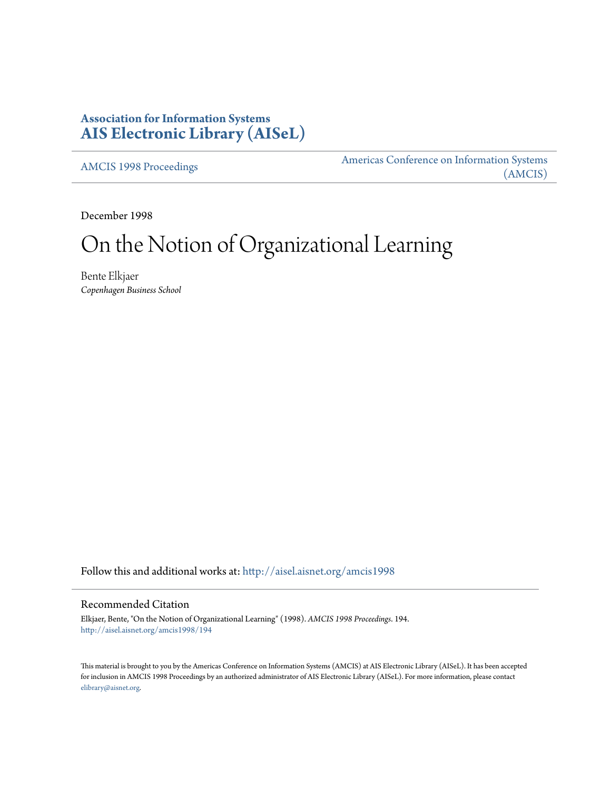# **Association for Information Systems [AIS Electronic Library \(AISeL\)](http://aisel.aisnet.org?utm_source=aisel.aisnet.org%2Famcis1998%2F194&utm_medium=PDF&utm_campaign=PDFCoverPages)**

[AMCIS 1998 Proceedings](http://aisel.aisnet.org/amcis1998?utm_source=aisel.aisnet.org%2Famcis1998%2F194&utm_medium=PDF&utm_campaign=PDFCoverPages)

[Americas Conference on Information Systems](http://aisel.aisnet.org/amcis?utm_source=aisel.aisnet.org%2Famcis1998%2F194&utm_medium=PDF&utm_campaign=PDFCoverPages) [\(AMCIS\)](http://aisel.aisnet.org/amcis?utm_source=aisel.aisnet.org%2Famcis1998%2F194&utm_medium=PDF&utm_campaign=PDFCoverPages)

December 1998

# On the Notion of Organizational Learning

Bente Elkjaer *Copenhagen Business School*

Follow this and additional works at: [http://aisel.aisnet.org/amcis1998](http://aisel.aisnet.org/amcis1998?utm_source=aisel.aisnet.org%2Famcis1998%2F194&utm_medium=PDF&utm_campaign=PDFCoverPages)

## Recommended Citation

Elkjaer, Bente, "On the Notion of Organizational Learning" (1998). *AMCIS 1998 Proceedings*. 194. [http://aisel.aisnet.org/amcis1998/194](http://aisel.aisnet.org/amcis1998/194?utm_source=aisel.aisnet.org%2Famcis1998%2F194&utm_medium=PDF&utm_campaign=PDFCoverPages)

This material is brought to you by the Americas Conference on Information Systems (AMCIS) at AIS Electronic Library (AISeL). It has been accepted for inclusion in AMCIS 1998 Proceedings by an authorized administrator of AIS Electronic Library (AISeL). For more information, please contact [elibrary@aisnet.org.](mailto:elibrary@aisnet.org%3E)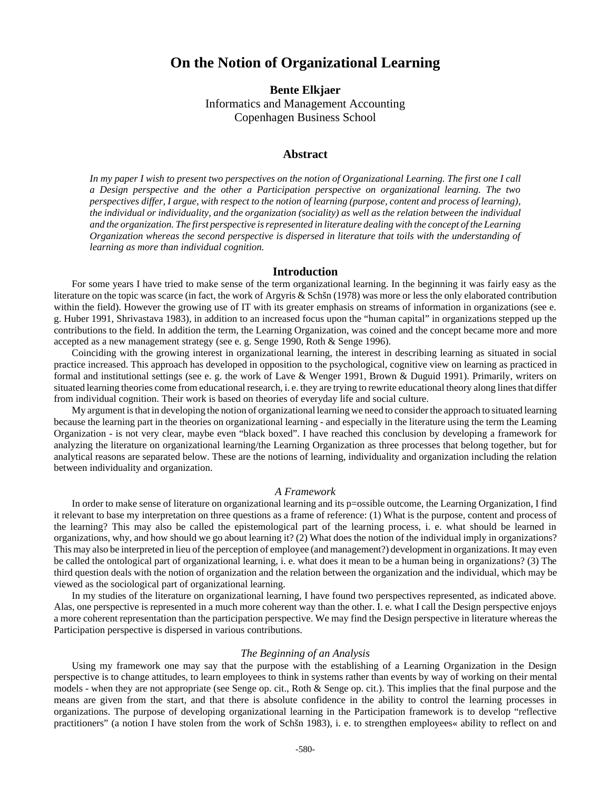# **On the Notion of Organizational Learning**

**Bente Elkjaer** Informatics and Management Accounting Copenhagen Business School

### **Abstract**

*In my paper I wish to present two perspectives on the notion of Organizational Learning. The first one I call a Design perspective and the other a Participation perspective on organizational learning. The two perspectives differ, I argue, with respect to the notion of learning (purpose, content and process of learning), the individual or individuality, and the organization (sociality) as well as the relation between the individual and the organization. The first perspective is represented in literature dealing with the concept of the Learning Organization whereas the second perspective is dispersed in literature that toils with the understanding of learning as more than individual cognition.*

#### **Introduction**

For some years I have tried to make sense of the term organizational learning. In the beginning it was fairly easy as the literature on the topic was scarce (in fact, the work of Argyris & Schšn (1978) was more or less the only elaborated contribution within the field). However the growing use of IT with its greater emphasis on streams of information in organizations (see e. g. Huber 1991, Shrivastava 1983), in addition to an increased focus upon the "human capital" in organizations stepped up the contributions to the field. In addition the term, the Learning Organization, was coined and the concept became more and more accepted as a new management strategy (see e. g. Senge 1990, Roth & Senge 1996).

Coinciding with the growing interest in organizational learning, the interest in describing learning as situated in social practice increased. This approach has developed in opposition to the psychological, cognitive view on learning as practiced in formal and institutional settings (see e. g. the work of Lave & Wenger 1991, Brown & Duguid 1991). Primarily, writers on situated learning theories come from educational research, i. e. they are trying to rewrite educational theory along lines that differ from individual cognition. Their work is based on theories of everyday life and social culture.

My argument is that in developing the notion of organizational learning we need to consider the approach to situated learning because the learning part in the theories on organizational learning - and especially in the literature using the term the Learning Organization - is not very clear, maybe even "black boxed". I have reached this conclusion by developing a framework for analyzing the literature on organizational learning/the Learning Organization as three processes that belong together, but for analytical reasons are separated below. These are the notions of learning, individuality and organization including the relation between individuality and organization.

#### *A Framework*

In order to make sense of literature on organizational learning and its p=ossible outcome, the Learning Organization, I find it relevant to base my interpretation on three questions as a frame of reference: (1) What is the purpose, content and process of the learning? This may also be called the epistemological part of the learning process, i. e. what should be learned in organizations, why, and how should we go about learning it? (2) What does the notion of the individual imply in organizations? This may also be interpreted in lieu of the perception of employee (and management?) development in organizations. It may even be called the ontological part of organizational learning, i. e. what does it mean to be a human being in organizations? (3) The third question deals with the notion of organization and the relation between the organization and the individual, which may be viewed as the sociological part of organizational learning.

In my studies of the literature on organizational learning, I have found two perspectives represented, as indicated above. Alas, one perspective is represented in a much more coherent way than the other. I. e. what I call the Design perspective enjoys a more coherent representation than the participation perspective. We may find the Design perspective in literature whereas the Participation perspective is dispersed in various contributions.

#### *The Beginning of an Analysis*

Using my framework one may say that the purpose with the establishing of a Learning Organization in the Design perspective is to change attitudes, to learn employees to think in systems rather than events by way of working on their mental models - when they are not appropriate (see Senge op. cit., Roth & Senge op. cit.). This implies that the final purpose and the means are given from the start, and that there is absolute confidence in the ability to control the learning processes in organizations. The purpose of developing organizational learning in the Participation framework is to develop "reflective practitioners" (a notion I have stolen from the work of Schšn 1983), i. e. to strengthen employees« ability to reflect on and